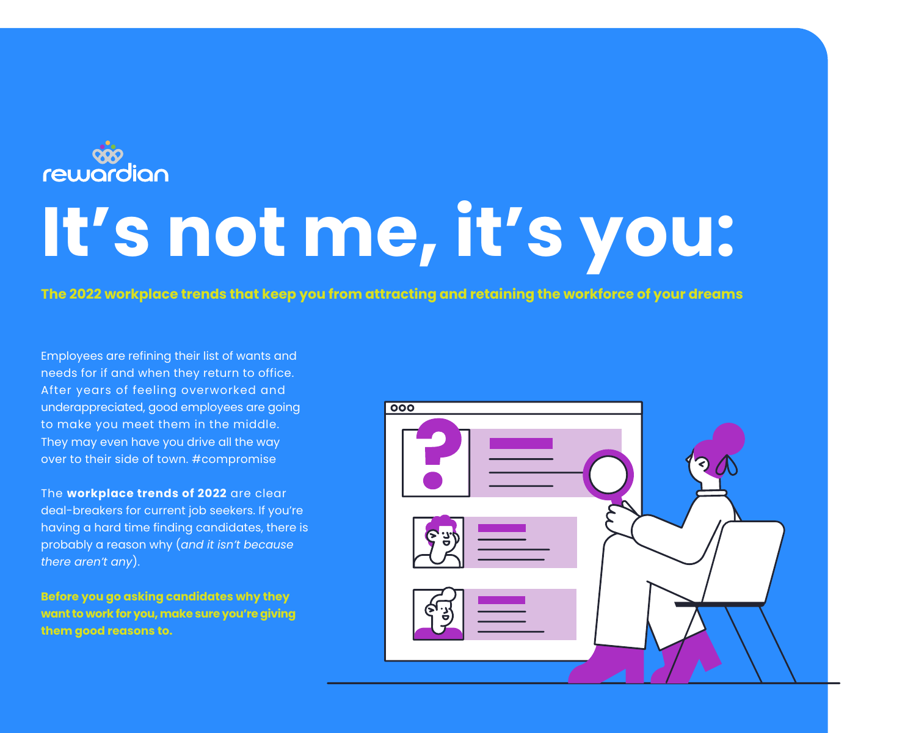Employees are refining their list of wants and needs for if and when they return to office. After years of feeling overworked and underappreciated, good employees are going to make you meet them in the middle. They may even have you drive all the way over to their side of town. #compromise

The **workplace trends of 2022** are clear deal-breakers for current job seekers. If you're having a hard time finding candidates, there is probably a reason why (*and it isn't because there aren't any*).

**Before you go asking candidates why they want to work for you, make sure you're giving them good reasons to.**

| $\overline{000}$ |  |
|------------------|--|
|                  |  |
| E 34             |  |
| ່ະ               |  |



# **It's not me, it's you:**

**The 2022 workplace trends that keep you from attracting and retaining the workforce of your dreams**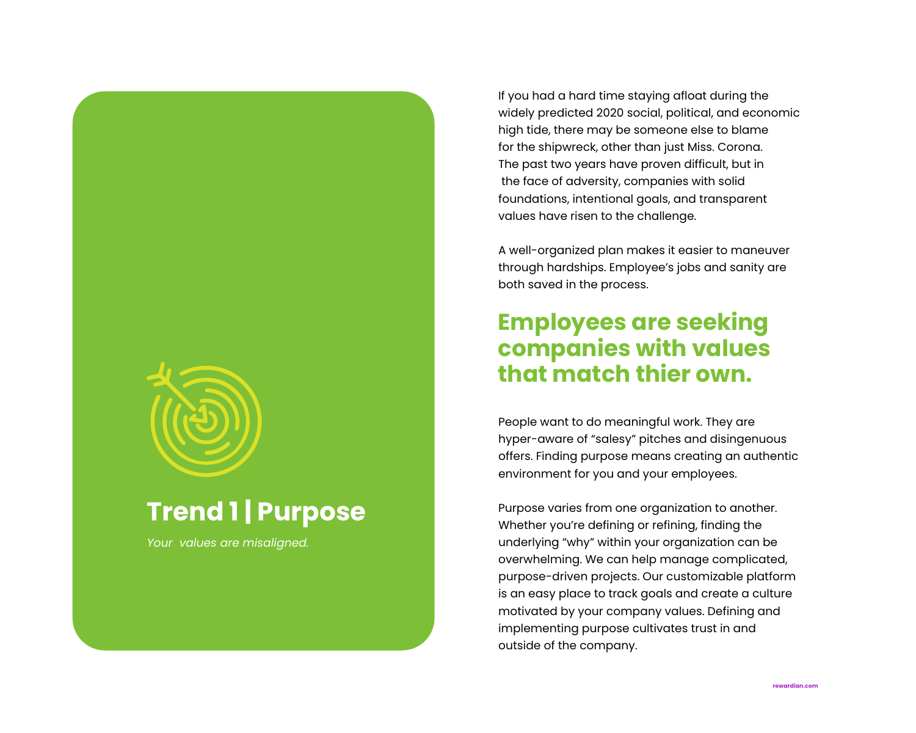## **Trend 1 | Purpose**

*Your values are misaligned.*

If you had a hard time staying afloat during the widely predicted 2020 social, political, and economic high tide, there may be someone else to blame for the shipwreck, other than just Miss. Corona. The past two years have proven difficult, but in the face of adversity, companies with solid foundations, intentional goals, and transparent values have risen to the challenge.

A well-organized plan makes it easier to maneuver through hardships. Employee's jobs and sanity are both saved in the process.

People want to do meaningful work. They are hyper-aware of "salesy" pitches and disingenuous offers. Finding purpose means creating an authentic environment for you and your employees.

Purpose varies from one organization to another. Whether you're defining or refining, finding the underlying "why" within your organization can be overwhelming. We can help manage complicated, purpose-driven projects. Our customizable platform is an easy place to track goals and create a culture motivated by your company values. Defining and implementing purpose cultivates trust in and outside of the company.

### **Employees are seeking companies with values that match thier own.**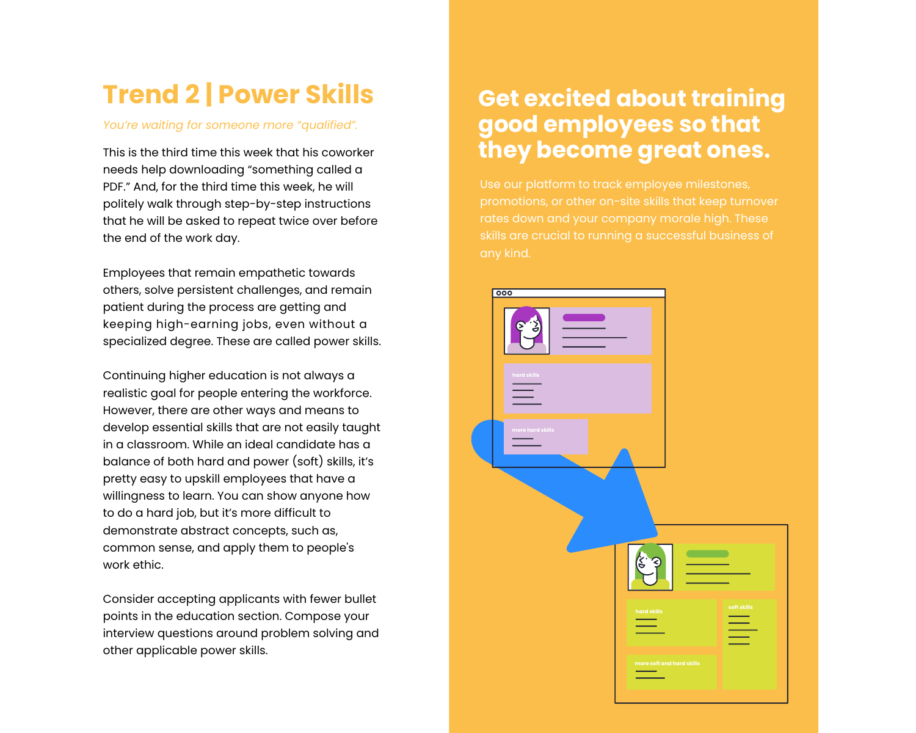# **Trend 2 | Power Skills**

*You're waiting for someone more "qualified".*

This is the third time this week that his coworker needs help downloading "something called a PDF." And, for the third time this week, he will politely walk through step-by-step instructions that he will be asked to repeat twice over before the end of the work day.

Employees that remain empathetic towards others, solve persistent challenges, and remain patient during the process are getting and keeping high-earning jobs, even without a specialized degree. These are called power skills.



Continuing higher education is not always a realistic goal for people entering the workforce. However, there are other ways and means to develop essential skills that are not easily taught in a classroom. While an ideal candidate has a balance of both hard and power (soft) skills, it's pretty easy to upskill employees that have a willingness to learn. You can show anyone how to do a hard job, but it's more difficult to demonstrate abstract concepts, such as, common sense, and apply them to people's work ethic.

Consider accepting applicants with fewer bullet points in the education section. Compose your interview questions around problem solving and other applicable power skills.

### **Get excited about training good employees so that they become great ones.**

Use our platform to track employee milestones, promotions, or other on-site skills that keep turnover rates down and your company morale high. These skills are crucial to running a successful business of any kind.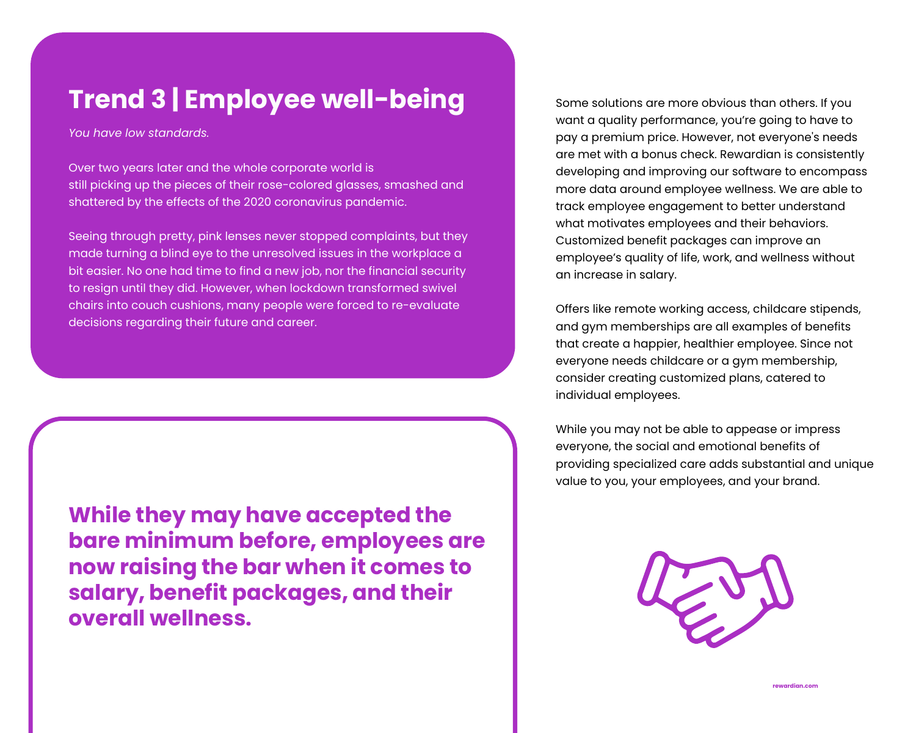**rewardian.com**

Some solutions are more obvious than others. If you want a quality performance, you're going to have to pay a premium price. However, not everyone's needs are met with a bonus check. Rewardian is consistently developing and improving our software to encompass more data around employee wellness. We are able to track employee engagement to better understand what motivates employees and their behaviors. Customized benefit packages can improve an employee's quality of life, work, and wellness without an increase in salary.

Offers like remote working access, childcare stipends, and gym memberships are all examples of benefits that create a happier, healthier employee. Since not everyone needs childcare or a gym membership, consider creating customized plans, catered to individual employees.

While you may not be able to appease or impress everyone, the social and emotional benefits of providing specialized care adds substantial and unique value to you, your employees, and your brand.



# **Trend 3 | Employee well-being**

*You have low standards.*

Over two years later and the whole corporate world is still picking up the pieces of their rose-colored glasses, smashed and shattered by the effects of the 2020 coronavirus pandemic.

Seeing through pretty, pink lenses never stopped complaints, but they made turning a blind eye to the unresolved issues in the workplace a bit easier. No one had time to find a new job, nor the financial security to resign until they did. However, when lockdown transformed swivel chairs into couch cushions, many people were forced to re-evaluate decisions regarding their future and career.

**While they may have accepted the bare minimum before, employees are now raising the bar when it comes to salary, benefit packages, and their overall wellness.**